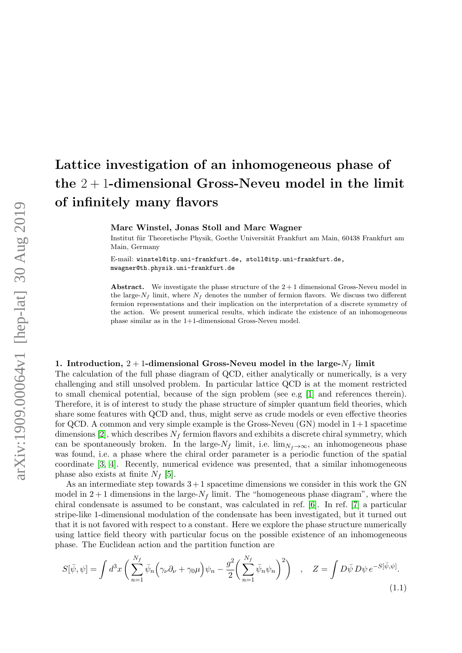# Lattice investigation of an inhomogeneous phase of the  $2+1$ -dimensional Gross-Neveu model in the limit of infinitely many flavors

Marc Winstel, Jonas Stoll and Marc Wagner

Institut für Theoretische Physik, Goethe Universität Frankfurt am Main, 60438 Frankfurt am Main, Germany

E-mail: winstel@itp.uni-frankfurt.de, stoll@itp.uni-frankfurt.de, mwagner@th.physik.uni-frankfurt.de

Abstract. We investigate the phase structure of the  $2+1$  dimensional Gross-Neveu model in the large- $N_f$  limit, where  $N_f$  denotes the number of fermion flavors. We discuss two different fermion representations and their implication on the interpretation of a discrete symmetry of the action. We present numerical results, which indicate the existence of an inhomogeneous phase similar as in the 1+1-dimensional Gross-Neveu model.

# 1. Introduction,  $2 + 1$ -dimensional Gross-Neveu model in the large- $N_f$  limit

The calculation of the full phase diagram of QCD, either analytically or numerically, is a very challenging and still unsolved problem. In particular lattice QCD is at the moment restricted to small chemical potential, because of the sign problem (see e.g [\[1\]](#page-4-0) and references therein). Therefore, it is of interest to study the phase structure of simpler quantum field theories, which share some features with QCD and, thus, might serve as crude models or even effective theories for QCD. A common and very simple example is the Gross-Neveu  $(GN)$  model in  $1+1$  spacetime dimensions [\[2\]](#page-4-1), which describes  $N_f$  fermion flavors and exhibits a discrete chiral symmetry, which can be spontaneously broken. In the large- $N_f$  limit, i.e.  $\lim_{N_f\to\infty}$ , an inhomogeneous phase was found, i.e. a phase where the chiral order parameter is a periodic function of the spatial coordinate [\[3,](#page-4-2) [4\]](#page-4-3). Recently, numerical evidence was presented, that a similar inhomogeneous phase also exists at finite  $N_f$  [\[5\]](#page-4-4).

As an intermediate step towards  $3+1$  spacetime dimensions we consider in this work the GN model in  $2+1$  dimensions in the large- $N_f$  limit. The "homogeneous phase diagram", where the chiral condensate is assumed to be constant, was calculated in ref. [\[6\]](#page-4-5). In ref. [\[7\]](#page-4-6) a particular stripe-like 1-dimensional modulation of the condensate has been investigated, but it turned out that it is not favored with respect to a constant. Here we explore the phase structure numerically using lattice field theory with particular focus on the possible existence of an inhomogeneous phase. The Euclidean action and the partition function are

$$
S[\bar{\psi}, \psi] = \int d^3x \left( \sum_{n=1}^{N_f} \bar{\psi}_n \left( \gamma_\nu \partial_\nu + \gamma_0 \mu \right) \psi_n - \frac{g^2}{2} \left( \sum_{n=1}^{N_f} \bar{\psi}_n \psi_n \right)^2 \right) , \quad Z = \int D\bar{\psi} \, D\psi \, e^{-S[\bar{\psi}, \psi]} . \tag{1.1}
$$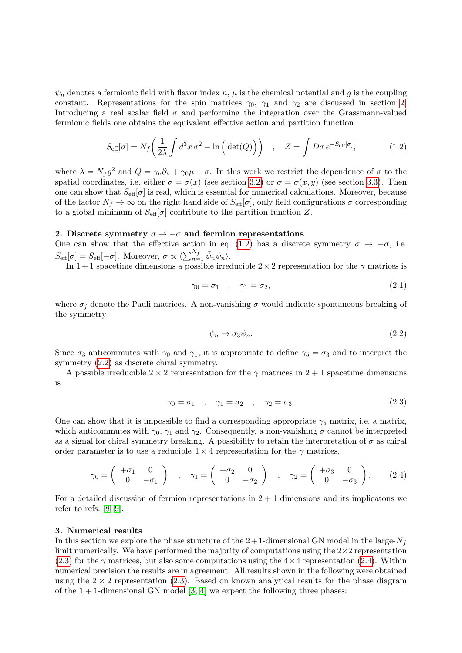$\psi_n$  denotes a fermionic field with flavor index n,  $\mu$  is the chemical potential and g is the coupling constant. Representations for the spin matrices  $\gamma_0$ ,  $\gamma_1$  and  $\gamma_2$  are discussed in section [2.](#page-1-0) Introducing a real scalar field  $\sigma$  and performing the integration over the Grassmann-valued fermionic fields one obtains the equivalent effective action and partition function

$$
S_{\text{eff}}[\sigma] = N_f \left(\frac{1}{2\lambda} \int d^3x \,\sigma^2 - \ln\left(\det(Q)\right)\right) \quad , \quad Z = \int D\sigma \, e^{-S_{\text{eff}}[\sigma]}, \tag{1.2}
$$

where  $\lambda = N_f g^2$  and  $Q = \gamma_\nu \partial_\nu + \gamma_0 \mu + \sigma$ . In this work we restrict the dependence of  $\sigma$  to the spatial coordinates, i.e. either  $\sigma = \sigma(x)$  (see section [3.2\)](#page-2-0) or  $\sigma = \sigma(x, y)$  (see section [3.3\)](#page-3-0). Then one can show that  $S_{\text{eff}}[\sigma]$  is real, which is essential for numerical calculations. Moreover, because of the factor  $N_f \to \infty$  on the right hand side of  $S_{\text{eff}}[\sigma]$ , only field configurations  $\sigma$  corresponding to a global minimum of  $S_{\text{eff}}[\sigma]$  contribute to the partition function Z.

# <span id="page-1-0"></span>2. Discrete symmetry  $\sigma \to -\sigma$  and fermion representations

One can show that the effective action in eq. [\(1.2\)](#page-1-1) has a discrete symmetry  $\sigma \to -\sigma$ , i.e.  $S_{\text{eff}}[\sigma] = S_{\text{eff}}[-\sigma]$ . Moreover,  $\sigma \propto \langle \sum_{n=1}^{N_f} \bar{\psi}_n \psi_n \rangle$ .

In 1 + 1 spacetime dimensions a possible irreducible  $2 \times 2$  representation for the  $\gamma$  matrices is

<span id="page-1-1"></span>
$$
\gamma_0 = \sigma_1 \quad , \quad \gamma_1 = \sigma_2, \tag{2.1}
$$

where  $\sigma_i$  denote the Pauli matrices. A non-vanishing  $\sigma$  would indicate spontaneous breaking of the symmetry

<span id="page-1-4"></span><span id="page-1-3"></span><span id="page-1-2"></span>
$$
\psi_n \to \sigma_3 \psi_n. \tag{2.2}
$$

Since  $\sigma_3$  anticommutes with  $\gamma_0$  and  $\gamma_1$ , it is appropriate to define  $\gamma_5 = \sigma_3$  and to interpret the symmetry [\(2.2\)](#page-1-2) as discrete chiral symmetry.

A possible irreducible  $2 \times 2$  representation for the  $\gamma$  matrices in  $2 + 1$  spacetime dimensions is

$$
\gamma_0 = \sigma_1 \quad , \quad \gamma_1 = \sigma_2 \quad , \quad \gamma_2 = \sigma_3. \tag{2.3}
$$

One can show that it is impossible to find a corresponding appropriate  $\gamma_5$  matrix, i.e. a matrix, which anticommutes with  $\gamma_0$ ,  $\gamma_1$  and  $\gamma_2$ . Consequently, a non-vanishing  $\sigma$  cannot be interpreted as a signal for chiral symmetry breaking. A possibility to retain the interpretation of  $\sigma$  as chiral order parameter is to use a reducible  $4 \times 4$  representation for the  $\gamma$  matrices,

$$
\gamma_0 = \begin{pmatrix} +\sigma_1 & 0 \\ 0 & -\sigma_1 \end{pmatrix} , \quad \gamma_1 = \begin{pmatrix} +\sigma_2 & 0 \\ 0 & -\sigma_2 \end{pmatrix} , \quad \gamma_2 = \begin{pmatrix} +\sigma_3 & 0 \\ 0 & -\sigma_3 \end{pmatrix} .
$$
 (2.4)

For a detailed discussion of fermion representations in  $2 + 1$  dimensions and its implicatons we refer to refs. [\[8,](#page-4-7) [9\]](#page-4-8).

### 3. Numerical results

In this section we explore the phase structure of the  $2+1$ -dimensional GN model in the large- $N_f$ limit numerically. We have performed the majority of computations using the  $2\times 2$  representation  $(2.3)$  for the  $\gamma$  matrices, but also some computations using the 4  $\times$  4 representation [\(2.4\)](#page-1-4). Within numerical precision the results are in agreement. All results shown in the following were obtained using the  $2 \times 2$  representation [\(2.3\)](#page-1-3). Based on known analytical results for the phase diagram of the  $1 + 1$ -dimensional GN model [\[3,](#page-4-2) [4\]](#page-4-3) we expect the following three phases: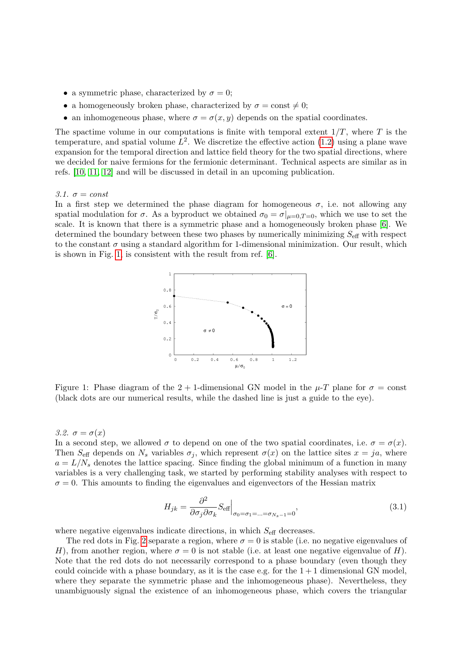- a symmetric phase, characterized by  $\sigma = 0$ ;
- a homogeneously broken phase, characterized by  $\sigma = \text{const} \neq 0;$
- an inhomogeneous phase, where  $\sigma = \sigma(x, y)$  depends on the spatial coordinates.

The spactime volume in our computations is finite with temporal extent  $1/T$ , where T is the temperature, and spatial volume  $L^2$ . We discretize the effective action  $(1.2)$  using a plane wave expansion for the temporal direction and lattice field theory for the two spatial directions, where we decided for naive fermions for the fermionic determinant. Technical aspects are similar as in refs. [\[10,](#page-4-9) [11,](#page-4-10) [12\]](#page-4-11) and will be discussed in detail in an upcoming publication.

#### 3.1.  $\sigma = const$

<span id="page-2-1"></span>In a first step we determined the phase diagram for homogeneous  $\sigma$ , i.e. not allowing any spatial modulation for  $\sigma$ . As a byproduct we obtained  $\sigma_0 = \sigma|_{\mu=0,T=0}$ , which we use to set the scale. It is known that there is a symmetric phase and a homogeneously broken phase [\[6\]](#page-4-5). We determined the boundary between these two phases by numerically minimizing  $S_{\text{eff}}$  with respect to the constant  $\sigma$  using a standard algorithm for 1-dimensional minimization. Our result, which is shown in Fig. [1,](#page-2-1) is consistent with the result from ref. [\[6\]](#page-4-5).



Figure 1: Phase diagram of the 2 + 1-dimensional GN model in the  $\mu$ -T plane for  $\sigma$  = const (black dots are our numerical results, while the dashed line is just a guide to the eye).

## <span id="page-2-0"></span>3.2.  $\sigma = \sigma(x)$

In a second step, we allowed  $\sigma$  to depend on one of the two spatial coordinates, i.e.  $\sigma = \sigma(x)$ . Then S<sub>eff</sub> depends on N<sub>s</sub> variables  $\sigma_j$ , which represent  $\sigma(x)$  on the lattice sites  $x = ja$ , where  $a = L/N<sub>s</sub>$  denotes the lattice spacing. Since finding the global minimum of a function in many variables is a very challenging task, we started by performing stability analyses with respect to  $\sigma = 0$ . This amounts to finding the eigenvalues and eigenvectors of the Hessian matrix

<span id="page-2-2"></span>
$$
H_{jk} = \frac{\partial^2}{\partial \sigma_j \partial \sigma_k} S_{\text{eff}} \Big|_{\sigma_0 = \sigma_1 = \dots = \sigma_{N_s - 1} = 0},\tag{3.1}
$$

where negative eigenvalues indicate directions, in which  $S_{\text{eff}}$  decreases.

The red dots in Fig. [2](#page-3-1) separate a region, where  $\sigma = 0$  is stable (i.e. no negative eigenvalues of H), from another region, where  $\sigma = 0$  is not stable (i.e. at least one negative eigenvalue of H). Note that the red dots do not necessarily correspond to a phase boundary (even though they could coincide with a phase boundary, as it is the case e.g. for the  $1 + 1$  dimensional GN model, where they separate the symmetric phase and the inhomogeneous phase). Nevertheless, they unambiguously signal the existence of an inhomogeneous phase, which covers the triangular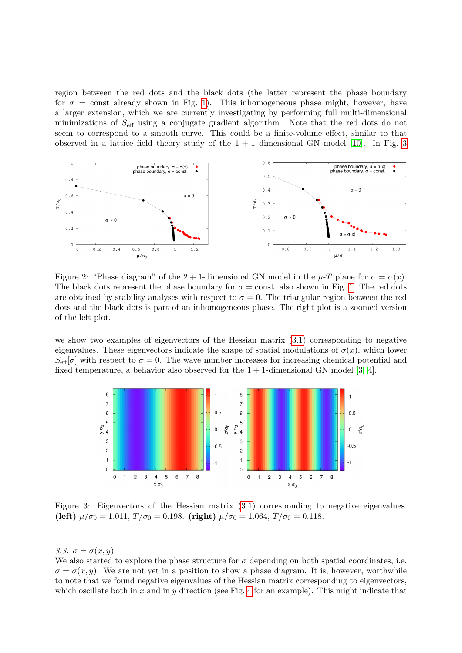region between the red dots and the black dots (the latter represent the phase boundary for  $\sigma = \text{const}$  already shown in Fig. [1\)](#page-2-1). This inhomogeneous phase might, however, have a larger extension, which we are currently investigating by performing full multi-dimensional minimizations of Seff using a conjugate gradient algorithm. Note that the red dots do not seem to correspond to a smooth curve. This could be a finite-volume effect, similar to that observed in a lattice field theory study of the  $1 + 1$  dimensional GN model [\[10\]](#page-4-9). In Fig. [3](#page-3-2)

<span id="page-3-1"></span>

Figure 2: "Phase diagram" of the 2 + 1-dimensional GN model in the  $\mu$ -T plane for  $\sigma = \sigma(x)$ . The black dots represent the phase boundary for  $\sigma = \text{const.}$  also shown in Fig. [1.](#page-2-1) The red dots are obtained by stability analyses with respect to  $\sigma = 0$ . The triangular region between the red dots and the black dots is part of an inhomogeneous phase. The right plot is a zoomed version of the left plot.

we show two examples of eigenvectors of the Hessian matrix [\(3.1\)](#page-2-2) corresponding to negative eigenvalues. These eigenvectors indicate the shape of spatial modulations of  $\sigma(x)$ , which lower  $S_{\text{eff}}[\sigma]$  with respect to  $\sigma = 0$ . The wave number increases for increasing chemical potential and fixed temperature, a behavior also observed for the  $1 + 1$ -dimensional GN model [\[3,](#page-4-2) [4\]](#page-4-3).

<span id="page-3-2"></span>

Figure 3: Eigenvectors of the Hessian matrix [\(3.1\)](#page-2-2) corresponding to negative eigenvalues. (left)  $\mu/\sigma_0 = 1.011$ ,  $T/\sigma_0 = 0.198$ . (right)  $\mu/\sigma_0 = 1.064$ ,  $T/\sigma_0 = 0.118$ .

<span id="page-3-0"></span>3.3.  $\sigma = \sigma(x, y)$ 

We also started to explore the phase structure for  $\sigma$  depending on both spatial coordinates, i.e.  $\sigma = \sigma(x, y)$ . We are not yet in a position to show a phase diagram. It is, however, worthwhile to note that we found negative eigenvalues of the Hessian matrix corresponding to eigenvectors, which oscillate both in x and in y direction (see Fig. [4](#page-4-12) for an example). This might indicate that